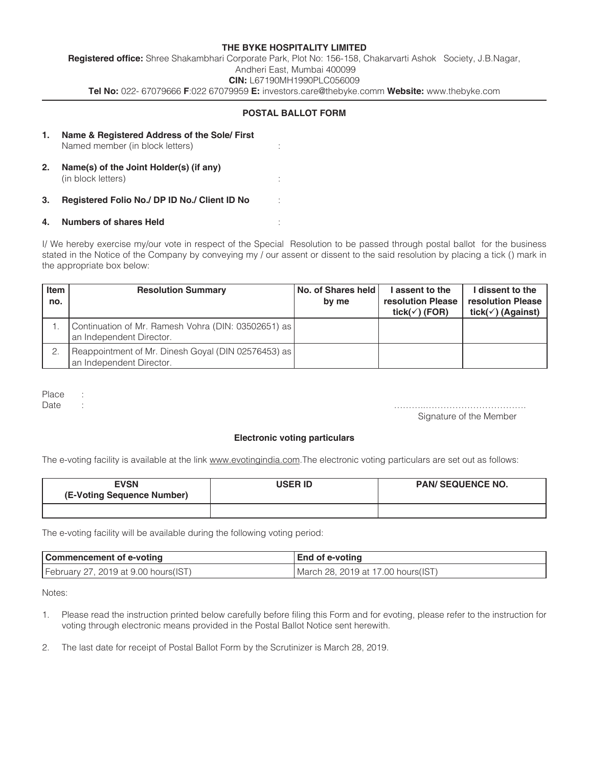## **THE BYKE HOSPITALITY LIMITED Registered office:** Shree Shakambhari Corporate Park, Plot No: 156-158, Chakarvarti Ashok Society, J.B.Nagar, Andheri East, Mumbai 400099 **CIN:** L67190MH1990PLC056009 **Tel No:** 022- 67079666 **F**:022 67079959 **E:** investors.care@thebyke.comm **Website:** www.thebyke.com

### **POSTAL BALLOT FORM**

| 1. | Name & Registered Address of the Sole/First<br>Named member (in block letters) |  |
|----|--------------------------------------------------------------------------------|--|
| 2. | Name(s) of the Joint Holder(s) (if any)<br>(in block letters)                  |  |
| 3. | Registered Folio No./ DP ID No./ Client ID No                                  |  |
| 4. | <b>Numbers of shares Held</b>                                                  |  |

# I/ We hereby exercise my/our vote in respect of the Special Resolution to be passed through postal ballot for the business

stated in the Notice of the Company by conveying my / our assent or dissent to the said resolution by placing a tick () mark in the appropriate box below:

| Item<br>no. | <b>Resolution Summary</b>                                                       | No. of Shares held l<br>by me | I assent to the<br>resolution Please<br>tick( $\checkmark$ ) (FOR) | I dissent to the<br>resolution Please<br>tick( $\checkmark$ ) (Against) |
|-------------|---------------------------------------------------------------------------------|-------------------------------|--------------------------------------------------------------------|-------------------------------------------------------------------------|
|             | Continuation of Mr. Ramesh Vohra (DIN: 03502651) as<br>an Independent Director. |                               |                                                                    |                                                                         |
| 2.          | Reappointment of Mr. Dinesh Goyal (DIN 02576453) as<br>an Independent Director. |                               |                                                                    |                                                                         |

Place :

Date : ………..……………………………. Signature of the Member

### **Electronic voting particulars**

The e-voting facility is available at the link www.evotingindia.com.The electronic voting particulars are set out as follows:

| <b>EVSN</b><br>(E-Voting Sequence Number) | <b>USER ID</b> | <b>PAN/ SEQUENCE NO.</b> |
|-------------------------------------------|----------------|--------------------------|
|                                           |                |                          |

The e-voting facility will be available during the following voting period:

| Commencement of e-voting              | End of e-voting                     |
|---------------------------------------|-------------------------------------|
| February 27, 2019 at 9.00 hours (IST) | March 28, 2019 at 17.00 hours (IST) |

Notes:

1. Please read the instruction printed below carefully before filing this Form and for evoting, please refer to the instruction for voting through electronic means provided in the Postal Ballot Notice sent herewith.

2. The last date for receipt of Postal Ballot Form by the Scrutinizer is March 28, 2019.